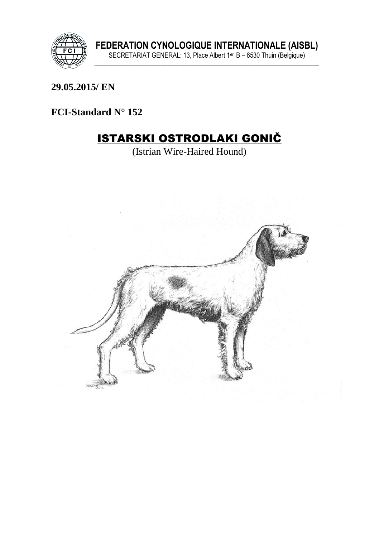

29.05.2015/EN

FCI-Standard N° 152

# **ISTARSKI OSTRODLAKI GONIČ**

(Istrian Wire-Haired Hound)

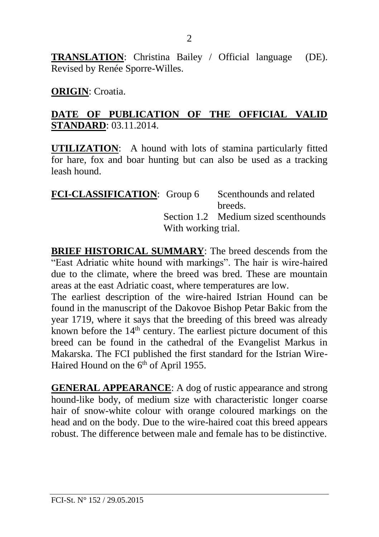**TRANSLATION**: Christina Bailey / Official language (DE). Revised by Renée Sporre-Willes.

#### **ORIGIN**: Croatia.

#### **DATE OF PUBLICATION OF THE OFFICIAL VALID STANDARD**: 03.11.2014.

**UTILIZATION**: A hound with lots of stamina particularly fitted for hare, fox and boar hunting but can also be used as a tracking leash hound.

| <b>FCI-CLASSIFICATION:</b> Group 6 |                     | Scenthounds and related              |  |
|------------------------------------|---------------------|--------------------------------------|--|
|                                    |                     | breeds.                              |  |
|                                    |                     | Section 1.2 Medium sized scenthounds |  |
|                                    | With working trial. |                                      |  |

**BRIEF HISTORICAL SUMMARY**: The breed descends from the "East Adriatic white hound with markings". The hair is wire-haired due to the climate, where the breed was bred. These are mountain areas at the east Adriatic coast, where temperatures are low.

The earliest description of the wire-haired Istrian Hound can be found in the manuscript of the Dakovoe Bishop Petar Bakic from the year 1719, where it says that the breeding of this breed was already known before the  $14<sup>th</sup>$  century. The earliest picture document of this breed can be found in the cathedral of the Evangelist Markus in Makarska. The FCI published the first standard for the Istrian Wire-Haired Hound on the 6<sup>th</sup> of April 1955.

**GENERAL APPEARANCE**: A dog of rustic appearance and strong hound-like body, of medium size with characteristic longer coarse hair of snow-white colour with orange coloured markings on the head and on the body. Due to the wire-haired coat this breed appears robust. The difference between male and female has to be distinctive.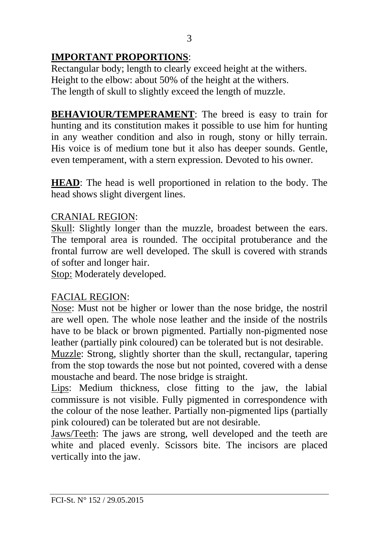# **IMPORTANT PROPORTIONS**:

Rectangular body; length to clearly exceed height at the withers. Height to the elbow: about 50% of the height at the withers. The length of skull to slightly exceed the length of muzzle.

**BEHAVIOUR/TEMPERAMENT**: The breed is easy to train for hunting and its constitution makes it possible to use him for hunting in any weather condition and also in rough, stony or hilly terrain. His voice is of medium tone but it also has deeper sounds. Gentle, even temperament, with a stern expression. Devoted to his owner.

**HEAD**: The head is well proportioned in relation to the body. The head shows slight divergent lines.

#### CRANIAL REGION:

Skull: Slightly longer than the muzzle, broadest between the ears. The temporal area is rounded. The occipital protuberance and the frontal furrow are well developed. The skull is covered with strands of softer and longer hair.

Stop: Moderately developed.

#### FACIAL REGION:

Nose: Must not be higher or lower than the nose bridge, the nostril are well open. The whole nose leather and the inside of the nostrils have to be black or brown pigmented. Partially non-pigmented nose leather (partially pink coloured) can be tolerated but is not desirable.

Muzzle: Strong, slightly shorter than the skull, rectangular, tapering from the stop towards the nose but not pointed, covered with a dense moustache and beard. The nose bridge is straight.

Lips: Medium thickness, close fitting to the jaw, the labial commissure is not visible. Fully pigmented in correspondence with the colour of the nose leather. Partially non-pigmented lips (partially pink coloured) can be tolerated but are not desirable.

Jaws/Teeth: The jaws are strong, well developed and the teeth are white and placed evenly. Scissors bite. The incisors are placed vertically into the jaw.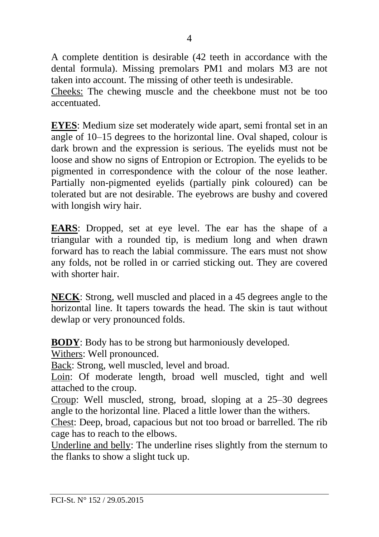A complete dentition is desirable (42 teeth in accordance with the dental formula). Missing premolars PM1 and molars M3 are not taken into account. The missing of other teeth is undesirable.

Cheeks: The chewing muscle and the cheekbone must not be too accentuated.

**EYES**: Medium size set moderately wide apart, semi frontal set in an angle of 10–15 degrees to the horizontal line. Oval shaped, colour is dark brown and the expression is serious. The eyelids must not be loose and show no signs of Entropion or Ectropion. The eyelids to be pigmented in correspondence with the colour of the nose leather. Partially non-pigmented eyelids (partially pink coloured) can be tolerated but are not desirable. The eyebrows are bushy and covered with longish wiry hair.

**EARS**: Dropped, set at eye level. The ear has the shape of a triangular with a rounded tip, is medium long and when drawn forward has to reach the labial commissure. The ears must not show any folds, not be rolled in or carried sticking out. They are covered with shorter hair

**NECK**: Strong, well muscled and placed in a 45 degrees angle to the horizontal line. It tapers towards the head. The skin is taut without dewlap or very pronounced folds.

**BODY**: Body has to be strong but harmoniously developed.

Withers: Well pronounced.

Back: Strong, well muscled, level and broad.

Loin: Of moderate length, broad well muscled, tight and well attached to the croup.

Croup: Well muscled, strong, broad, sloping at a 25–30 degrees angle to the horizontal line. Placed a little lower than the withers.

Chest: Deep, broad, capacious but not too broad or barrelled. The rib cage has to reach to the elbows.

Underline and belly: The underline rises slightly from the sternum to the flanks to show a slight tuck up.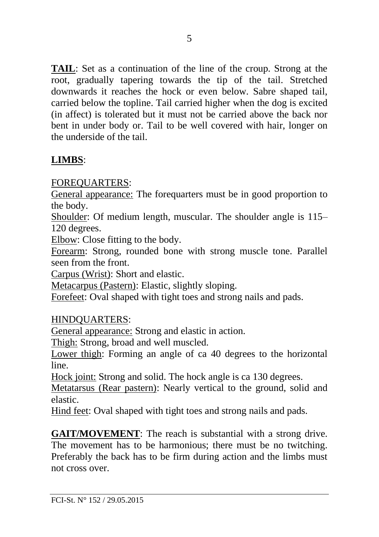**TAIL**: Set as a continuation of the line of the croup. Strong at the root, gradually tapering towards the tip of the tail. Stretched downwards it reaches the hock or even below. Sabre shaped tail, carried below the topline. Tail carried higher when the dog is excited (in affect) is tolerated but it must not be carried above the back nor bent in under body or. Tail to be well covered with hair, longer on the underside of the tail.

# **LIMBS**:

FOREQUARTERS:

General appearance: The forequarters must be in good proportion to the body.

Shoulder: Of medium length, muscular. The shoulder angle is 115– 120 degrees.

Elbow: Close fitting to the body.

Forearm: Strong, rounded bone with strong muscle tone. Parallel seen from the front.

Carpus (Wrist): Short and elastic.

Metacarpus (Pastern): Elastic, slightly sloping.

Forefeet: Oval shaped with tight toes and strong nails and pads.

### HINDQUARTERS:

General appearance: Strong and elastic in action.

Thigh: Strong, broad and well muscled.

Lower thigh: Forming an angle of ca 40 degrees to the horizontal line.

Hock joint: Strong and solid. The hock angle is ca 130 degrees.

Metatarsus (Rear pastern): Nearly vertical to the ground, solid and elastic.

Hind feet: Oval shaped with tight toes and strong nails and pads.

**GAIT/MOVEMENT:** The reach is substantial with a strong drive. The movement has to be harmonious; there must be no twitching. Preferably the back has to be firm during action and the limbs must not cross over.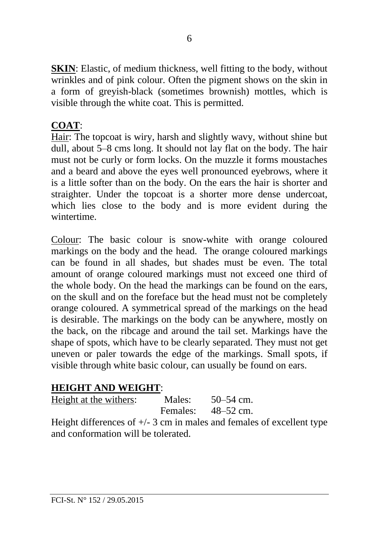**SKIN**: Elastic, of medium thickness, well fitting to the body, without wrinkles and of pink colour. Often the pigment shows on the skin in a form of greyish-black (sometimes brownish) mottles, which is visible through the white coat. This is permitted.

# **COAT**:

Hair: The topcoat is wiry, harsh and slightly wavy, without shine but dull, about 5–8 cms long. It should not lay flat on the body. The hair must not be curly or form locks. On the muzzle it forms moustaches and a beard and above the eyes well pronounced eyebrows, where it is a little softer than on the body. On the ears the hair is shorter and straighter. Under the topcoat is a shorter more dense undercoat, which lies close to the body and is more evident during the wintertime.

Colour: The basic colour is snow-white with orange coloured markings on the body and the head. The orange coloured markings can be found in all shades, but shades must be even. The total amount of orange coloured markings must not exceed one third of the whole body. On the head the markings can be found on the ears, on the skull and on the foreface but the head must not be completely orange coloured. A symmetrical spread of the markings on the head is desirable. The markings on the body can be anywhere, mostly on the back, on the ribcage and around the tail set. Markings have the shape of spots, which have to be clearly separated. They must not get uneven or paler towards the edge of the markings. Small spots, if visible through white basic colour, can usually be found on ears.

### **HEIGHT AND WEIGHT**:

| Height at the withers: | Males:   | $50 - 54$ cm. |
|------------------------|----------|---------------|
|                        | Females: | $48 - 52$ cm. |

Height differences of  $+/- 3$  cm in males and females of excellent type and conformation will be tolerated.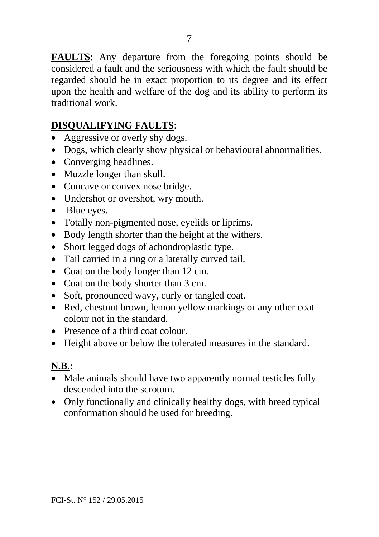**FAULTS**: Any departure from the foregoing points should be considered a fault and the seriousness with which the fault should be regarded should be in exact proportion to its degree and its effect upon the health and welfare of the dog and its ability to perform its traditional work.

# **DISQUALIFYING FAULTS**:

- Aggressive or overly shy dogs.
- Dogs, which clearly show physical or behavioural abnormalities.
- Converging headlines.
- Muzzle longer than skull.
- Concave or convex nose bridge.
- Undershot or overshot, wry mouth.
- Blue eyes.
- Totally non-pigmented nose, eyelids or liprims.
- Body length shorter than the height at the withers.
- Short legged dogs of achondroplastic type.
- Tail carried in a ring or a laterally curved tail.
- Coat on the body longer than 12 cm.
- Coat on the body shorter than 3 cm.
- Soft, pronounced wavy, curly or tangled coat.
- Red, chestnut brown, lemon yellow markings or any other coat colour not in the standard.
- Presence of a third coat colour
- Height above or below the tolerated measures in the standard.

#### **N.B.**:

- Male animals should have two apparently normal testicles fully descended into the scrotum.
- Only functionally and clinically healthy dogs, with breed typical conformation should be used for breeding.